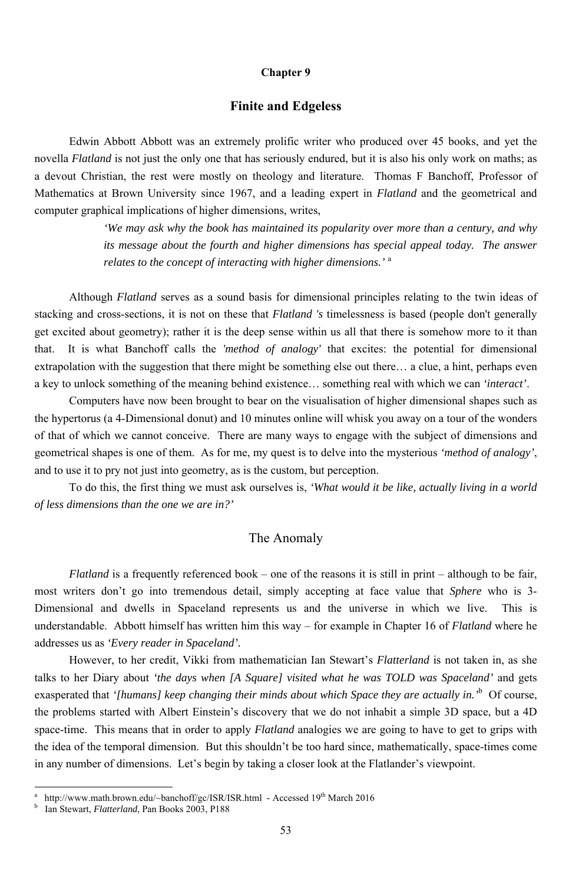#### **Chapter 9**

#### **Finite and Edgeless**

Edwin Abbott Abbott was an extremely prolific writer who produced over 45 books, and yet the novella *Flatland* is not just the only one that has seriously endured, but it is also his only work on maths; as a devout Christian, the rest were mostly on theology and literature. Thomas F Banchoff, Professor of Mathematics at Brown University since 1967, and a leading expert in *Flatland* and the geometrical and computer graphical implications of higher dimensions, writes,

> *'We may ask why the book has maintained its popularity over more than a century, and why its message about the fourth and higher dimensions has special appeal today. The answer relates to the concept of interacting with higher dimensions.'* <sup>a</sup>

Although *Flatland* serves as a sound basis for dimensional principles relating to the twin ideas of stacking and cross-sections, it is not on these that *Flatland 's* timelessness is based (people don't generally get excited about geometry); rather it is the deep sense within us all that there is somehow more to it than that. It is what Banchoff calls the *'method of analogy'* that excites: the potential for dimensional extrapolation with the suggestion that there might be something else out there… a clue, a hint, perhaps even a key to unlock something of the meaning behind existence… something real with which we can *'interact'*.

Computers have now been brought to bear on the visualisation of higher dimensional shapes such as the hypertorus (a 4-Dimensional donut) and 10 minutes online will whisk you away on a tour of the wonders of that of which we cannot conceive. There are many ways to engage with the subject of dimensions and geometrical shapes is one of them. As for me, my quest is to delve into the mysterious *'method of analogy'*, and to use it to pry not just into geometry, as is the custom, but perception.

To do this, the first thing we must ask ourselves is, *'What would it be like, actually living in a world of less dimensions than the one we are in?'*

#### The Anomaly

*Flatland* is a frequently referenced book – one of the reasons it is still in print – although to be fair, most writers don't go into tremendous detail, simply accepting at face value that *Sphere* who is 3- Dimensional and dwells in Spaceland represents us and the universe in which we live. This is understandable. Abbott himself has written him this way – for example in Chapter 16 of *Flatland* where he addresses us as *'Every reader in Spaceland'.*

However, to her credit, Vikki from mathematician Ian Stewart's *Flatterland* is not taken in, as she talks to her Diary about *'the days when [A Square] visited what he was TOLD was Spaceland'* and gets exasperated that *'[humans] keep changing their minds about which Space they are actually in.'*<sup>b</sup> Of course, the problems started with Albert Einstein's discovery that we do not inhabit a simple 3D space, but a 4D space-time. This means that in order to apply *Flatland* analogies we are going to have to get to grips with the idea of the temporal dimension. But this shouldn't be too hard since, mathematically, space-times come in any number of dimensions. Let's begin by taking a closer look at the Flatlander's viewpoint.

<sup>53</sup>

a http://www.math.brown.edu/~banchoff/gc/ISR/ISR.html - Accessed 19<sup>th</sup> March 2016 b

Ian Stewart, *Flatterland*, Pan Books 2003, P188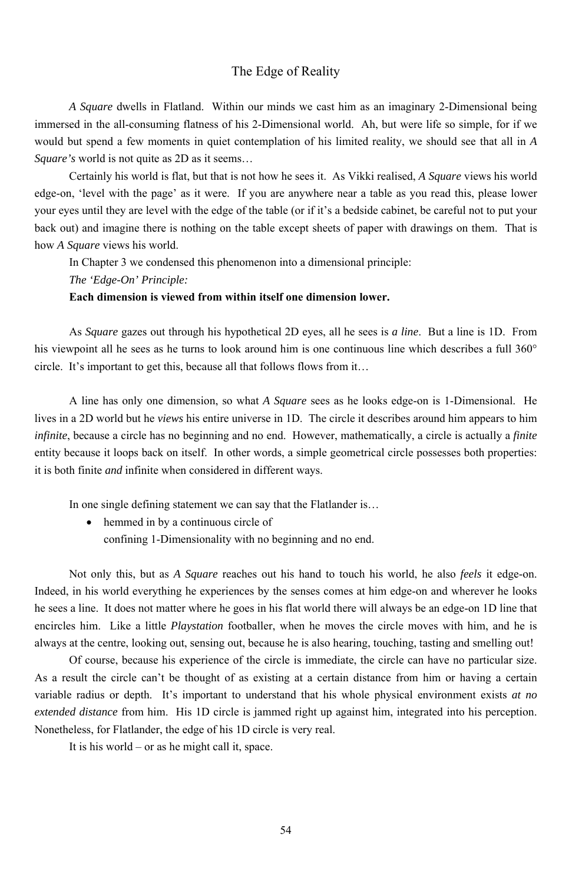## The Edge of Reality

*A Square* dwells in Flatland. Within our minds we cast him as an imaginary 2-Dimensional being immersed in the all-consuming flatness of his 2-Dimensional world. Ah, but were life so simple, for if we would but spend a few moments in quiet contemplation of his limited reality, we should see that all in *A Square's* world is not quite as 2D as it seems…

Certainly his world is flat, but that is not how he sees it. As Vikki realised, *A Square* views his world edge-on, 'level with the page' as it were. If you are anywhere near a table as you read this, please lower your eyes until they are level with the edge of the table (or if it's a bedside cabinet, be careful not to put your back out) and imagine there is nothing on the table except sheets of paper with drawings on them. That is how *A Square* views his world.

In Chapter 3 we condensed this phenomenon into a dimensional principle:

*The 'Edge-On' Principle:* 

#### **Each dimension is viewed from within itself one dimension lower.**

As *Square* gazes out through his hypothetical 2D eyes, all he sees is *a line*. But a line is 1D. From his viewpoint all he sees as he turns to look around him is one continuous line which describes a full 360° circle. It's important to get this, because all that follows flows from it…

A line has only one dimension, so what *A Square* sees as he looks edge-on is 1-Dimensional. He lives in a 2D world but he *views* his entire universe in 1D. The circle it describes around him appears to him *infinite*, because a circle has no beginning and no end. However, mathematically, a circle is actually a *finite* entity because it loops back on itself. In other words, a simple geometrical circle possesses both properties: it is both finite *and* infinite when considered in different ways.

In one single defining statement we can say that the Flatlander is…

• hemmed in by a continuous circle of

confining 1-Dimensionality with no beginning and no end.

Not only this, but as *A Square* reaches out his hand to touch his world, he also *feels* it edge-on. Indeed, in his world everything he experiences by the senses comes at him edge-on and wherever he looks he sees a line. It does not matter where he goes in his flat world there will always be an edge-on 1D line that encircles him. Like a little *Playstation* footballer, when he moves the circle moves with him, and he is always at the centre, looking out, sensing out, because he is also hearing, touching, tasting and smelling out!

Of course, because his experience of the circle is immediate, the circle can have no particular size. As a result the circle can't be thought of as existing at a certain distance from him or having a certain variable radius or depth. It's important to understand that his whole physical environment exists *at no extended distance* from him. His 1D circle is jammed right up against him, integrated into his perception. Nonetheless, for Flatlander, the edge of his 1D circle is very real. It is his world – or as he might call it, space.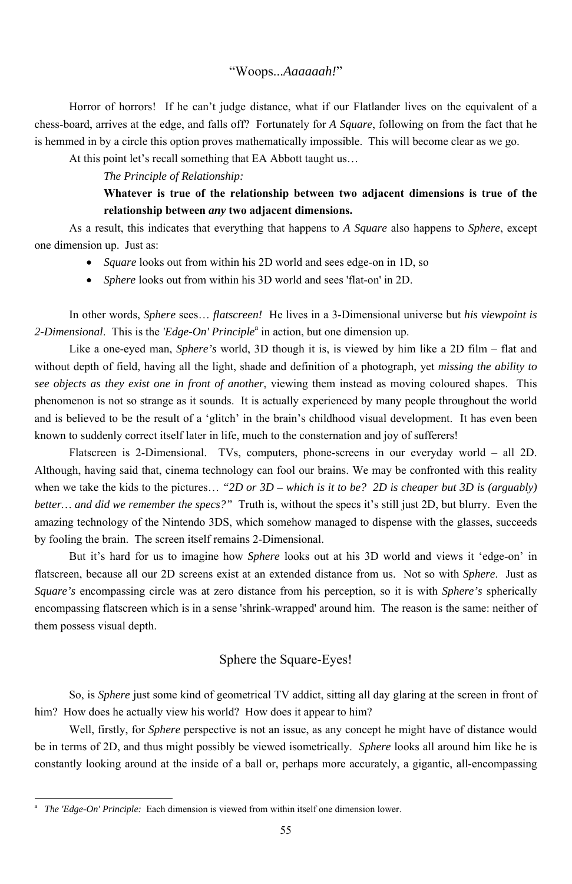#### "Woops...*Aaaaaah!*"

Horror of horrors! If he can't judge distance, what if our Flatlander lives on the equivalent of a chess-board, arrives at the edge, and falls off? Fortunately for *A Square*, following on from the fact that he is hemmed in by a circle this option proves mathematically impossible. This will become clear as we go.

At this point let's recall something that EA Abbott taught us…

#### *The Principle of Relationship:*

- *Square* looks out from within his 2D world and sees edge-on in 1D, so
- *Sphere* looks out from within his 3D world and sees 'flat-on' in 2D.

In other words, *Sphere* sees… *flatscreen!* He lives in a 3-Dimensional universe but *his viewpoint is*  2-*Dimensional*. This is the *'Edge-On' Principle*<sup>a</sup> in action, but one dimension up.

## **Whatever is true of the relationship between two adjacent dimensions is true of the relationship between** *any* **two adjacent dimensions.**

As a result, this indicates that everything that happens to *A Square* also happens to *Sphere*, except one dimension up. Just as:

Like a one-eyed man, *Sphere's* world, 3D though it is, is viewed by him like a 2D film – flat and without depth of field, having all the light, shade and definition of a photograph, yet *missing the ability to see objects as they exist one in front of another*, viewing them instead as moving coloured shapes. This phenomenon is not so strange as it sounds. It is actually experienced by many people throughout the world and is believed to be the result of a 'glitch' in the brain's childhood visual development. It has even been known to suddenly correct itself later in life, much to the consternation and joy of sufferers!

So, is *Sphere* just some kind of geometrical TV addict, sitting all day glaring at the screen in front of him? How does he actually view his world? How does it appear to him?

Flatscreen is 2-Dimensional. TVs, computers, phone-screens in our everyday world – all 2D. Although, having said that, cinema technology can fool our brains. We may be confronted with this reality when we take the kids to the pictures… *"2D or 3D – which is it to be? 2D is cheaper but 3D is (arguably) better… and did we remember the specs?"* Truth is, without the specs it's still just 2D, but blurry. Even the amazing technology of the Nintendo 3DS, which somehow managed to dispense with the glasses, succeeds by fooling the brain. The screen itself remains 2-Dimensional.

But it's hard for us to imagine how *Sphere* looks out at his 3D world and views it 'edge-on' in flatscreen, because all our 2D screens exist at an extended distance from us. Not so with *Sphere*. Just as *Square's* encompassing circle was at zero distance from his perception, so it is with *Sphere's* spherically encompassing flatscreen which is in a sense 'shrink-wrapped' around him. The reason is the same: neither of them possess visual depth.

# Sphere the Square-Eyes!

Well, firstly, for *Sphere* perspective is not an issue, as any concept he might have of distance would be in terms of 2D, and thus might possibly be viewed isometrically. *Sphere* looks all around him like he is constantly looking around at the inside of a ball or, perhaps more accurately, a gigantic, all-encompassing

<sup>55</sup>

a *The 'Edge-On' Principle:* Each dimension is viewed from within itself one dimension lower.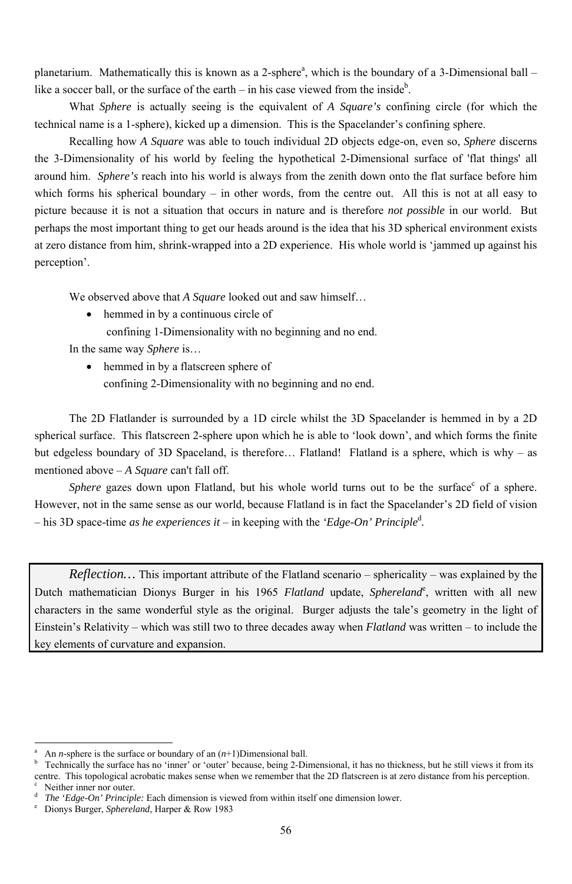planetarium. Mathematically this is known as a 2-sphere<sup>a</sup>, which is the boundary of a 3-Dimensional ball – like a soccer ball, or the surface of the earth  $-$  in his case viewed from the inside<sup>b</sup>.

What *Sphere* is actually seeing is the equivalent of *A Square's* confining circle (for which the technical name is a 1-sphere), kicked up a dimension. This is the Spacelander's confining sphere.

> • hemmed in by a flatscreen sphere of confining 2-Dimensionality with no beginning and no end.

Recalling how *A Square* was able to touch individual 2D objects edge-on, even so, *Sphere* discerns the 3-Dimensionality of his world by feeling the hypothetical 2-Dimensional surface of 'flat things' all around him. *Sphere's* reach into his world is always from the zenith down onto the flat surface before him which forms his spherical boundary – in other words, from the centre out. All this is not at all easy to picture because it is not a situation that occurs in nature and is therefore *not possible* in our world. But perhaps the most important thing to get our heads around is the idea that his 3D spherical environment exists at zero distance from him, shrink-wrapped into a 2D experience. His whole world is 'jammed up against his perception'.

Sphere gazes down upon Flatland, but his whole world turns out to be the surface<sup>c</sup> of a sphere. However, not in the same sense as our world, because Flatland is in fact the Spacelander's 2D field of vision – his 3D space-time *as he experiences it* – in keeping with the *'Edge-On' Principle*<sup>d</sup> *.* 

We observed above that *A Square* looked out and saw himself…

• hemmed in by a continuous circle of

a An *n*-sphere is the surface or boundary of an  $(n+1)$ Dimensional ball.

confining 1-Dimensionality with no beginning and no end.

In the same way *Sphere* is…

d <sup>d</sup> *The 'Edge-On' Principle:* Each dimension is viewed from within itself one dimension lower.<br>
<sup>e</sup> Dionys Burger *Sphereland* Harper & Row 1983

The 2D Flatlander is surrounded by a 1D circle whilst the 3D Spacelander is hemmed in by a 2D spherical surface. This flatscreen 2-sphere upon which he is able to 'look down', and which forms the finite but edgeless boundary of 3D Spaceland, is therefore... Flatland! Flatland is a sphere, which is why - as mentioned above – *A Square* can't fall off.

*Reflection…* This important attribute of the Flatland scenario – sphericality – was explained by the Dutch mathematician Dionys Burger in his 1965 Flatland update, Sphereland<sup>e</sup>, written with all new characters in the same wonderful style as the original. Burger adjusts the tale's geometry in the light of Einstein's Relativity – which was still two to three decades away when *Flatland* was written – to include the key elements of curvature and expansion.

b Technically the surface has no 'inner' or 'outer' because, being 2-Dimensional, it has no thickness, but he still views it from its centre. This topological acrobatic makes sense when we remember that the 2D flatscreen is at zero distance from his perception. Neither inner nor outer.

Dionys Burger, *Sphereland*, Harper & Row 1983

<sup>-</sup>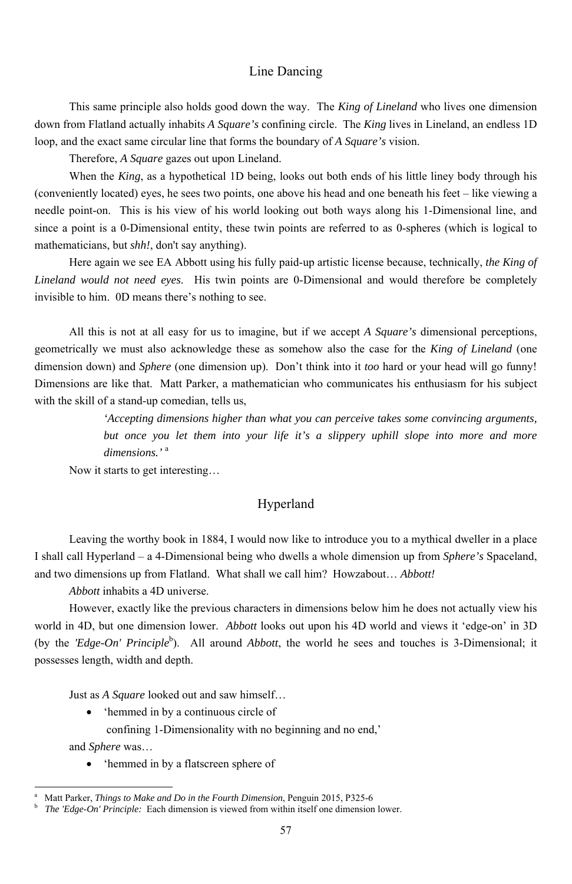## Line Dancing

This same principle also holds good down the way. The *King of Lineland* who lives one dimension down from Flatland actually inhabits *A Square's* confining circle. The *King* lives in Lineland, an endless 1D loop, and the exact same circular line that forms the boundary of *A Square's* vision.

Therefore, *A Square* gazes out upon Lineland.

When the *King*, as a hypothetical 1D being, looks out both ends of his little liney body through his (conveniently located) eyes, he sees two points, one above his head and one beneath his feet – like viewing a needle point-on. This is his view of his world looking out both ways along his 1-Dimensional line, and since a point is a 0-Dimensional entity, these twin points are referred to as 0-spheres (which is logical to mathematicians, but *shh!*, don't say anything).

Here again we see EA Abbott using his fully paid-up artistic license because, technically, *the King of Lineland would not need eyes*. His twin points are 0-Dimensional and would therefore be completely invisible to him. 0D means there's nothing to see.

However, exactly like the previous characters in dimensions below him he does not actually view his world in 4D, but one dimension lower. *Abbott* looks out upon his 4D world and views it 'edge-on' in 3D (by the *'Edge-On' Principle*<sup>b</sup>). All around *Abbott*, the world he sees and touches is 3-Dimensional; it

All this is not at all easy for us to imagine, but if we accept *A Square's* dimensional perceptions, geometrically we must also acknowledge these as somehow also the case for the *King of Lineland* (one dimension down) and *Sphere* (one dimension up). Don't think into it *too* hard or your head will go funny! Dimensions are like that. Matt Parker, a mathematician who communicates his enthusiasm for his subject with the skill of a stand-up comedian, tells us,

> *'Accepting dimensions higher than what you can perceive takes some convincing arguments, but once you let them into your life it's a slippery uphill slope into more and more dimensions.'* <sup>a</sup>

Now it starts to get interesting…

## Hyperland

Leaving the worthy book in 1884, I would now like to introduce you to a mythical dweller in a place I shall call Hyperland – a 4-Dimensional being who dwells a whole dimension up from *Sphere's* Spaceland, and two dimensions up from Flatland. What shall we call him? Howzabout… *Abbott!*

*Abbott* inhabits a 4D universe.

possesses length, width and depth.

Just as *A Square* looked out and saw himself…

• 'hemmed in by a continuous circle of

confining 1-Dimensionality with no beginning and no end,'

and *Sphere* was…

-

• 'hemmed in by a flatscreen sphere of

<sup>57</sup>

a Matt Parker, *Things to Make and Do in the Fourth Dimension*, Penguin 2015, P325-6 b *The 'Edge-On' Principle:* Each dimension is viewed from within itself one dimension lower.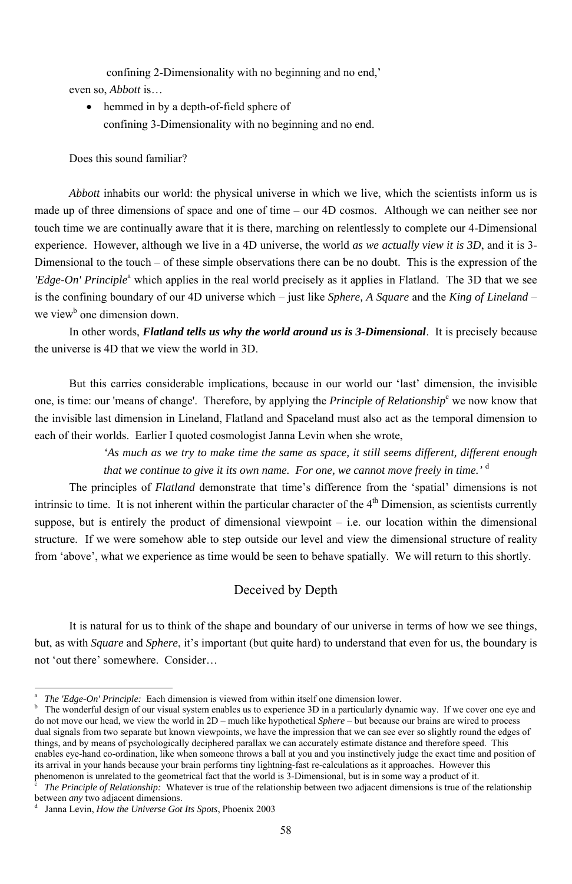confining 2-Dimensionality with no beginning and no end,' even so, *Abbott* is…

• hemmed in by a depth-of-field sphere of confining 3-Dimensionality with no beginning and no end.

*Abbott* inhabits our world: the physical universe in which we live, which the scientists inform us is made up of three dimensions of space and one of time – our 4D cosmos. Although we can neither see nor touch time we are continually aware that it is there, marching on relentlessly to complete our 4-Dimensional experience. However, although we live in a 4D universe, the world *as we actually view it is 3D*, and it is 3- Dimensional to the touch – of these simple observations there can be no doubt. This is the expression of the *'Edge-On' Principle*<sup>a</sup> which applies in the real world precisely as it applies in Flatland. The 3D that we see is the confining boundary of our 4D universe which – just like *Sphere, A Square* and the *King of Lineland* – we view<sup>b</sup> one dimension down.

Does this sound familiar?

In other words, *Flatland tells us why the world around us is 3-Dimensional*. It is precisely because the universe is 4D that we view the world in 3D.

But this carries considerable implications, because in our world our 'last' dimension, the invisible one, is time: our 'means of change'. Therefore, by applying the *Principle of Relationship*<sup>c</sup> we now know that the invisible last dimension in Lineland, Flatland and Spaceland must also act as the temporal dimension to each of their worlds. Earlier I quoted cosmologist Janna Levin when she wrote,

> *'As much as we try to make time the same as space, it still seems different, different enough that we continue to give it its own name. For one, we cannot move freely in time.'* <sup>d</sup>

The principles of *Flatland* demonstrate that time's difference from the 'spatial' dimensions is not intrinsic to time. It is not inherent within the particular character of the  $4<sup>th</sup>$  Dimension, as scientists currently suppose, but is entirely the product of dimensional viewpoint – i.e. our location within the dimensional structure. If we were somehow able to step outside our level and view the dimensional structure of reality from 'above', what we experience as time would be seen to behave spatially. We will return to this shortly.

## Deceived by Depth

It is natural for us to think of the shape and boundary of our universe in terms of how we see things, but, as with *Square* and *Sphere*, it's important (but quite hard) to understand that even for us, the boundary is

<sup>-</sup>

a *The 'Edge-On' Principle:* Each dimension is viewed from within itself one dimension lower.

b The wonderful design of our visual system enables us to experience 3D in a particularly dynamic way. If we cover one eye and do not move our head, we view the world in 2D – much like hypothetical *Sphere* – but because our brains are wired to process dual signals from two separate but known viewpoints, we have the impression that we can see ever so slightly round the edges of things, and by means of psychologically deciphered parallax we can accurately estimate distance and therefore speed. This enables eye-hand co-ordination, like when someone throws a ball at you and you instinctively judge the exact time and position of its arrival in your hands because your brain performs tiny lightning-fast re-calculations as it approaches. However this phenomenon is unrelated to the geometrical fact that the world is 3-Dimensional, but is in some way a product of it. c *The Principle of Relationship:* Whatever is true of the relationship between two adjacent dimensions is true of the relationship between *any* two adjacent dimensions.

d Janna Levin, *How the Universe Got Its Spots*, Phoenix 2003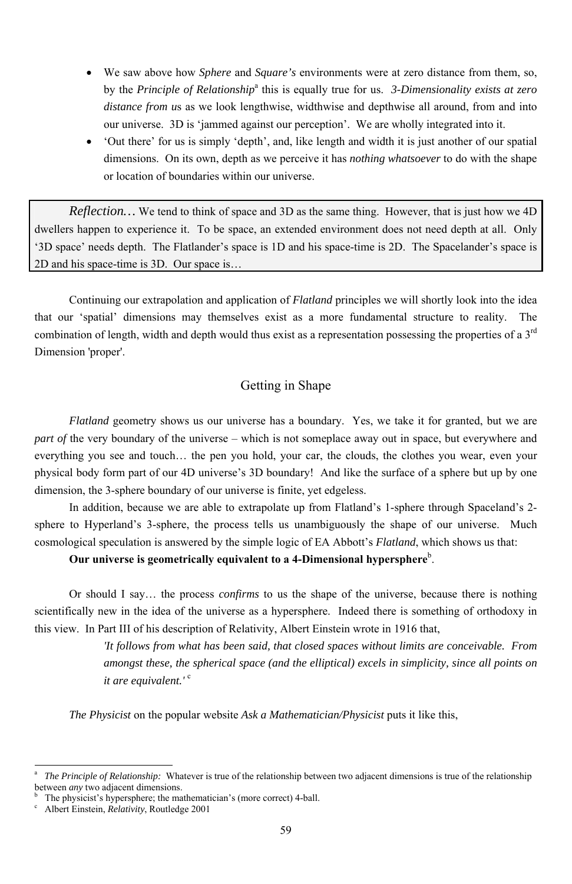- We saw above how *Sphere* and *Square's* environments were at zero distance from them, so, by the *Principle of Relationship*<sup>a</sup> this is equally true for us. *3-Dimensionality exists at zero distance from u*s as we look lengthwise, widthwise and depthwise all around, from and into our universe. 3D is 'jammed against our perception'. We are wholly integrated into it.
- 'Out there' for us is simply 'depth', and, like length and width it is just another of our spatial dimensions. On its own, depth as we perceive it has *nothing whatsoever* to do with the shape or location of boundaries within our universe.

*Reflection…* We tend to think of space and 3D as the same thing. However, that is just how we 4D dwellers happen to experience it. To be space, an extended environment does not need depth at all. Only '3D space' needs depth. The Flatlander's space is 1D and his space-time is 2D. The Spacelander's space is 2D and his space-time is 3D. Our space is…

Continuing our extrapolation and application of *Flatland* principles we will shortly look into the idea that our 'spatial' dimensions may themselves exist as a more fundamental structure to reality. The combination of length, width and depth would thus exist as a representation possessing the properties of a  $3<sup>rd</sup>$ Dimension 'proper'.

## Getting in Shape

b <sup>b</sup> The physicist's hypersphere; the mathematician's (more correct) 4-ball.<br><sup>c</sup> Albert Einstein, *Relativity*, Routledge 2001

*Flatland* geometry shows us our universe has a boundary. Yes, we take it for granted, but we are *part of* the very boundary of the universe – which is not someplace away out in space, but everywhere and everything you see and touch… the pen you hold, your car, the clouds, the clothes you wear, even your physical body form part of our 4D universe's 3D boundary! And like the surface of a sphere but up by one dimension, the 3-sphere boundary of our universe is finite, yet edgeless.

In addition, because we are able to extrapolate up from Flatland's 1-sphere through Spaceland's 2 sphere to Hyperland's 3-sphere, the process tells us unambiguously the shape of our universe. Much cosmological speculation is answered by the simple logic of EA Abbott's *Flatland*, which shows us that:

## Our universe is geometrically equivalent to a 4-Dimensional hypersphere<sup>b</sup>.

Or should I say… the process *confirms* to us the shape of the universe, because there is nothing scientifically new in the idea of the universe as a hypersphere. Indeed there is something of orthodoxy in this view. In Part III of his description of Relativity, Albert Einstein wrote in 1916 that,

*'It follows from what has been said, that closed spaces without limits are conceivable. From* 

 *amongst these, the spherical space (and the elliptical) excels in simplicity, since all points on it are equivalent.'* <sup>c</sup>

*The Physicist* on the popular website *Ask a Mathematician/Physicist* puts it like this,

Albert Einstein, *Relativity*, Routledge 2001

a *The Principle of Relationship:* Whatever is true of the relationship between two adjacent dimensions is true of the relationship between *any* two adjacent dimensions.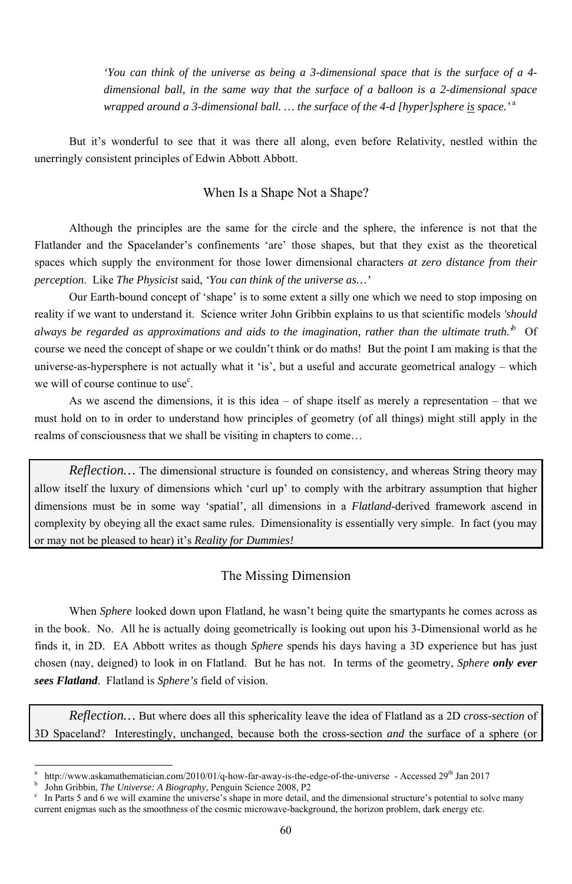*'You can think of the universe as being a 3-dimensional space that is the surface of a 4 dimensional ball, in the same way that the surface of a balloon is a 2-dimensional space wrapped around a 3-dimensional ball. … the surface of the 4-d [hyper]sphere is space.'*<sup>a</sup>

But it's wonderful to see that it was there all along, even before Relativity, nestled within the unerringly consistent principles of Edwin Abbott Abbott.

Our Earth-bound concept of 'shape' is to some extent a silly one which we need to stop imposing on reality if we want to understand it. Science writer John Gribbin explains to us that scientific models *'should always be regarded as approximations and aids to the imagination, rather than the ultimate truth.'*<sup>b</sup> Of course we need the concept of shape or we couldn't think or do maths! But the point I am making is that the universe-as-hypersphere is not actually what it 'is', but a useful and accurate geometrical analogy – which we will of course continue to use<sup>c</sup>.

# When Is a Shape Not a Shape?

Although the principles are the same for the circle and the sphere, the inference is not that the Flatlander and the Spacelander's confinements 'are' those shapes, but that they exist as the theoretical spaces which supply the environment for those lower dimensional characters *at zero distance from their perception*. Like *The Physicist* said, *'You can think of the universe as…'* 

*Reflection*... The dimensional structure is founded on consistency, and whereas String theory may allow itself the luxury of dimensions which 'curl up' to comply with the arbitrary assumption that higher dimensions must be in some way 'spatial', all dimensions in a *Flatland*-derived framework ascend in complexity by obeying all the exact same rules. Dimensionality is essentially very simple. In fact (you may or may not be pleased to hear) it's *Reality for Dummies!*

-

As we ascend the dimensions, it is this idea – of shape itself as merely a representation – that we must hold on to in order to understand how principles of geometry (of all things) might still apply in the realms of consciousness that we shall be visiting in chapters to come…

#### The Missing Dimension

When *Sphere* looked down upon Flatland, he wasn't being quite the smartypants he comes across as in the book. No. All he is actually doing geometrically is looking out upon his 3-Dimensional world as he finds it, in 2D. EA Abbott writes as though *Sphere* spends his days having a 3D experience but has just chosen (nay, deigned) to look in on Flatland. But he has not. In terms of the geometry, *Sphere only ever sees Flatland*. Flatland is *Sphere's* field of vision.

*Reflection…* But where does all this sphericality leave the idea of Flatland as a 2D *cross-section* of 3D Spaceland? Interestingly, unchanged, because both the cross-section *and* the surface of a sphere (or

a http://www.askamathematician.com/2010/01/q-how-far-away-is-the-edge-of-the-universe - Accessed 29<sup>th</sup> Jan 2017 b <sup>b</sup> John Gribbin, *The Universe: A Biography*, Penguin Science 2008, P2<sup>c</sup> In Parts 5 and 6 we will examine the universe's shape in more detail

In Parts 5 and 6 we will examine the universe's shape in more detail, and the dimensional structure's potential to solve many current enigmas such as the smoothness of the cosmic microwave-background, the horizon problem, dark energy etc.